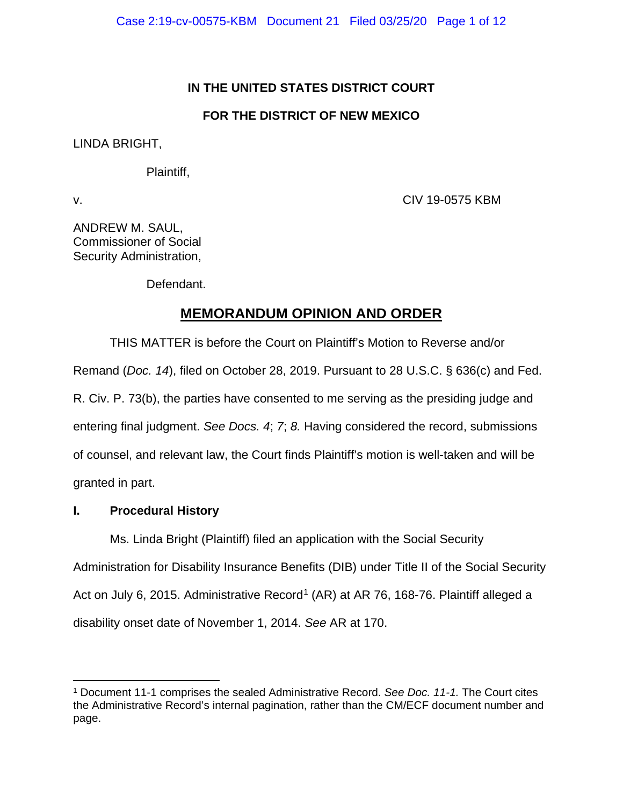# **IN THE UNITED STATES DISTRICT COURT**

# **FOR THE DISTRICT OF NEW MEXICO**

LINDA BRIGHT,

Plaintiff,

v. CIV 19-0575 KBM

ANDREW M. SAUL, Commissioner of Social Security Administration,

Defendant.

# **MEMORANDUM OPINION AND ORDER**

THIS MATTER is before the Court on Plaintiff's Motion to Reverse and/or Remand (*Doc. 14*), filed on October 28, 2019. Pursuant to 28 U.S.C. § 636(c) and Fed. R. Civ. P. 73(b), the parties have consented to me serving as the presiding judge and entering final judgment. *See Docs. 4*; *7*; *8.* Having considered the record, submissions of counsel, and relevant law, the Court finds Plaintiff's motion is well-taken and will be granted in part.

# **I. Procedural History**

Ms. Linda Bright (Plaintiff) filed an application with the Social Security Administration for Disability Insurance Benefits (DIB) under Title II of the Social Security Act on July 6, 20[1](#page-0-0)5. Administrative Record<sup>1</sup> (AR) at AR 76, 168-76. Plaintiff alleged a disability onset date of November 1, 2014. *See* AR at 170.

<span id="page-0-0"></span><sup>1</sup> Document 11-1 comprises the sealed Administrative Record. *See Doc. 11-1.* The Court cites the Administrative Record's internal pagination, rather than the CM/ECF document number and page.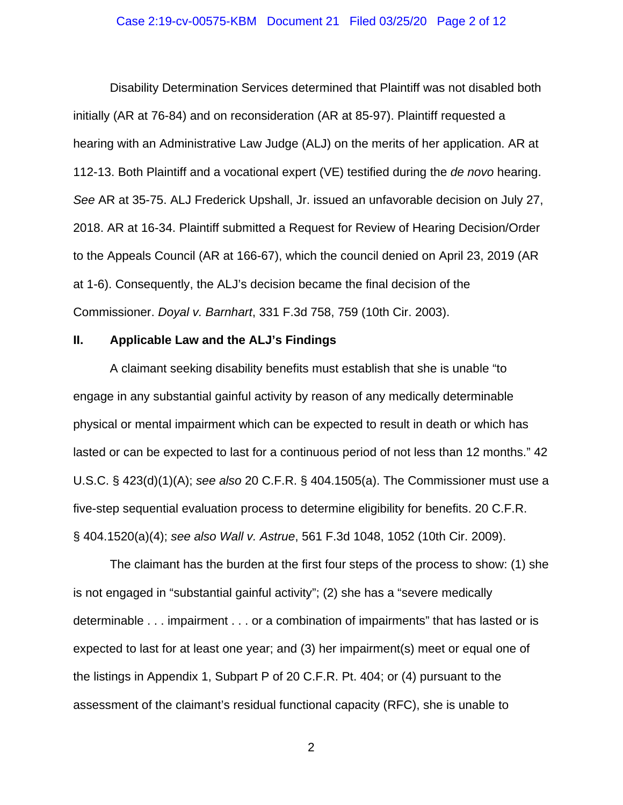#### Case 2:19-cv-00575-KBM Document 21 Filed 03/25/20 Page 2 of 12

Disability Determination Services determined that Plaintiff was not disabled both initially (AR at 76-84) and on reconsideration (AR at 85-97). Plaintiff requested a hearing with an Administrative Law Judge (ALJ) on the merits of her application. AR at 112-13. Both Plaintiff and a vocational expert (VE) testified during the *de novo* hearing. *See* AR at 35-75. ALJ Frederick Upshall, Jr. issued an unfavorable decision on July 27, 2018. AR at 16-34. Plaintiff submitted a Request for Review of Hearing Decision/Order to the Appeals Council (AR at 166-67), which the council denied on April 23, 2019 (AR at 1-6). Consequently, the ALJ's decision became the final decision of the Commissioner. *Doyal v. Barnhart*, 331 F.3d 758, 759 (10th Cir. 2003).

#### **II. Applicable Law and the ALJ's Findings**

A claimant seeking disability benefits must establish that she is unable "to engage in any substantial gainful activity by reason of any medically determinable physical or mental impairment which can be expected to result in death or which has lasted or can be expected to last for a continuous period of not less than 12 months." 42 U.S.C. § 423(d)(1)(A); *see also* 20 C.F.R. § 404.1505(a). The Commissioner must use a five-step sequential evaluation process to determine eligibility for benefits. 20 C.F.R. § 404.1520(a)(4); *see also Wall v. Astrue*, 561 F.3d 1048, 1052 (10th Cir. 2009).

The claimant has the burden at the first four steps of the process to show: (1) she is not engaged in "substantial gainful activity"; (2) she has a "severe medically determinable . . . impairment . . . or a combination of impairments" that has lasted or is expected to last for at least one year; and (3) her impairment(s) meet or equal one of the listings in Appendix 1, Subpart P of 20 C.F.R. Pt. 404; or (4) pursuant to the assessment of the claimant's residual functional capacity (RFC), she is unable to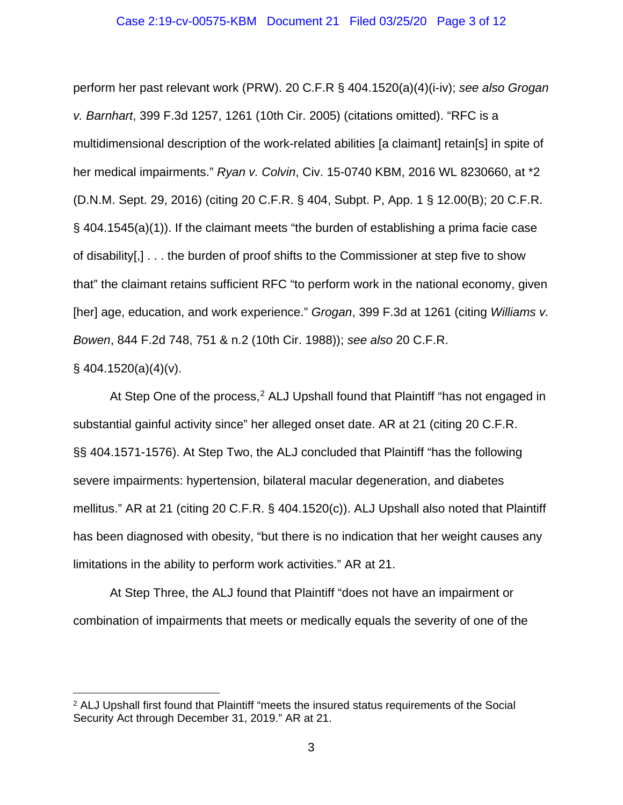#### Case 2:19-cv-00575-KBM Document 21 Filed 03/25/20 Page 3 of 12

perform her past relevant work (PRW). 20 C.F.R § 404.1520(a)(4)(i-iv); *see also Grogan v. Barnhart*, 399 F.3d 1257, 1261 (10th Cir. 2005) (citations omitted). "RFC is a multidimensional description of the work-related abilities [a claimant] retain[s] in spite of her medical impairments." *Ryan v. Colvin*, Civ. 15-0740 KBM, 2016 WL 8230660, at \*2 (D.N.M. Sept. 29, 2016) (citing 20 C.F.R. § 404, Subpt. P, App. 1 § 12.00(B); 20 C.F.R. § 404.1545(a)(1)). If the claimant meets "the burden of establishing a prima facie case of disability[,] . . . the burden of proof shifts to the Commissioner at step five to show that" the claimant retains sufficient RFC "to perform work in the national economy, given [her] age, education, and work experience." *Grogan*, 399 F.3d at 1261 (citing *Williams v. Bowen*, 844 F.2d 748, 751 & n.2 (10th Cir. 1988)); *see also* 20 C.F.R.

## $§$  404.1520(a)(4)(v).

At Step One of the process,<sup>[2](#page-2-0)</sup> ALJ Upshall found that Plaintiff "has not engaged in substantial gainful activity since" her alleged onset date. AR at 21 (citing 20 C.F.R. §§ 404.1571-1576). At Step Two, the ALJ concluded that Plaintiff "has the following severe impairments: hypertension, bilateral macular degeneration, and diabetes mellitus." AR at 21 (citing 20 C.F.R. § 404.1520(c)). ALJ Upshall also noted that Plaintiff has been diagnosed with obesity, "but there is no indication that her weight causes any limitations in the ability to perform work activities." AR at 21.

At Step Three, the ALJ found that Plaintiff "does not have an impairment or combination of impairments that meets or medically equals the severity of one of the

<span id="page-2-0"></span><sup>&</sup>lt;sup>2</sup> ALJ Upshall first found that Plaintiff "meets the insured status requirements of the Social Security Act through December 31, 2019." AR at 21.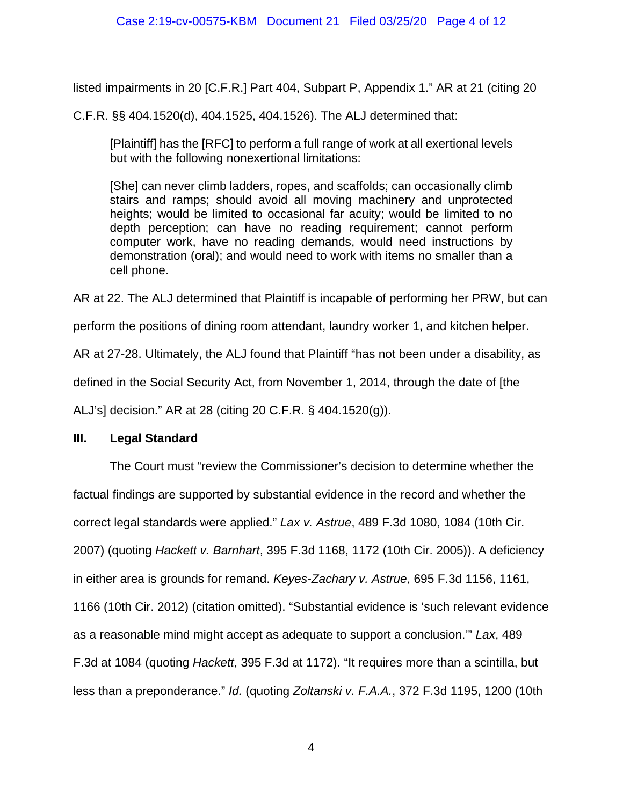listed impairments in 20 [C.F.R.] Part 404, Subpart P, Appendix 1." AR at 21 (citing 20

C.F.R. §§ 404.1520(d), 404.1525, 404.1526). The ALJ determined that:

[Plaintiff] has the [RFC] to perform a full range of work at all exertional levels but with the following nonexertional limitations:

[She] can never climb ladders, ropes, and scaffolds; can occasionally climb stairs and ramps; should avoid all moving machinery and unprotected heights; would be limited to occasional far acuity; would be limited to no depth perception; can have no reading requirement; cannot perform computer work, have no reading demands, would need instructions by demonstration (oral); and would need to work with items no smaller than a cell phone.

AR at 22. The ALJ determined that Plaintiff is incapable of performing her PRW, but can

perform the positions of dining room attendant, laundry worker 1, and kitchen helper.

AR at 27-28. Ultimately, the ALJ found that Plaintiff "has not been under a disability, as

defined in the Social Security Act, from November 1, 2014, through the date of [the

ALJ's] decision." AR at 28 (citing 20 C.F.R. § 404.1520(g)).

# **III. Legal Standard**

The Court must "review the Commissioner's decision to determine whether the factual findings are supported by substantial evidence in the record and whether the correct legal standards were applied." *Lax v. Astrue*, 489 F.3d 1080, 1084 (10th Cir. 2007) (quoting *Hackett v. Barnhart*, 395 F.3d 1168, 1172 (10th Cir. 2005)). A deficiency in either area is grounds for remand. *Keyes-Zachary v. Astrue*, 695 F.3d 1156, 1161, 1166 (10th Cir. 2012) (citation omitted). "Substantial evidence is 'such relevant evidence as a reasonable mind might accept as adequate to support a conclusion.'" *Lax*, 489 F.3d at 1084 (quoting *Hackett*, 395 F.3d at 1172). "It requires more than a scintilla, but less than a preponderance." *Id.* (quoting *Zoltanski v. F.A.A.*, 372 F.3d 1195, 1200 (10th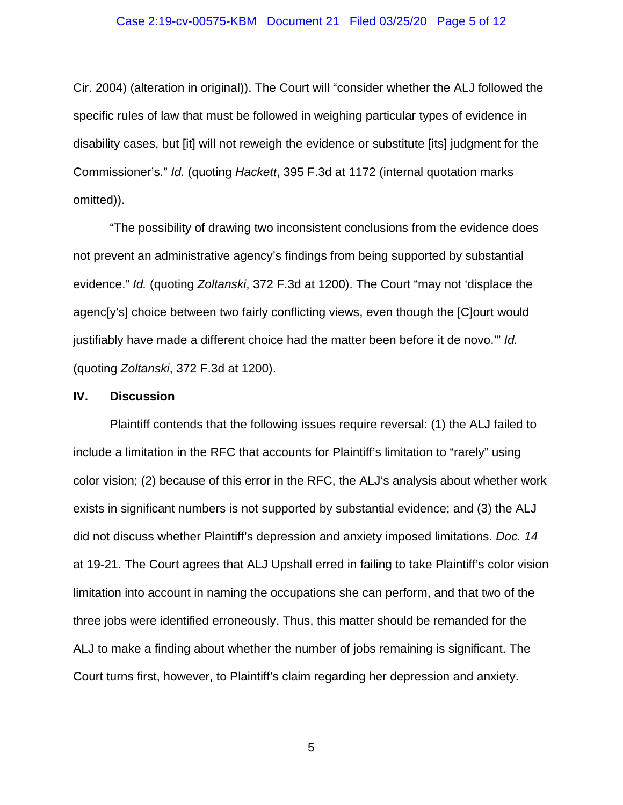#### Case 2:19-cv-00575-KBM Document 21 Filed 03/25/20 Page 5 of 12

Cir. 2004) (alteration in original)). The Court will "consider whether the ALJ followed the specific rules of law that must be followed in weighing particular types of evidence in disability cases, but [it] will not reweigh the evidence or substitute [its] judgment for the Commissioner's." *Id.* (quoting *Hackett*, 395 F.3d at 1172 (internal quotation marks omitted)).

"The possibility of drawing two inconsistent conclusions from the evidence does not prevent an administrative agency's findings from being supported by substantial evidence." *Id.* (quoting *Zoltanski*, 372 F.3d at 1200). The Court "may not 'displace the agenc[y's] choice between two fairly conflicting views, even though the [C]ourt would justifiably have made a different choice had the matter been before it de novo.'" *Id.* (quoting *Zoltanski*, 372 F.3d at 1200).

#### **IV. Discussion**

Plaintiff contends that the following issues require reversal: (1) the ALJ failed to include a limitation in the RFC that accounts for Plaintiff's limitation to "rarely" using color vision; (2) because of this error in the RFC, the ALJ's analysis about whether work exists in significant numbers is not supported by substantial evidence; and (3) the ALJ did not discuss whether Plaintiff's depression and anxiety imposed limitations. *Doc. 14* at 19-21. The Court agrees that ALJ Upshall erred in failing to take Plaintiff's color vision limitation into account in naming the occupations she can perform, and that two of the three jobs were identified erroneously. Thus, this matter should be remanded for the ALJ to make a finding about whether the number of jobs remaining is significant. The Court turns first, however, to Plaintiff's claim regarding her depression and anxiety.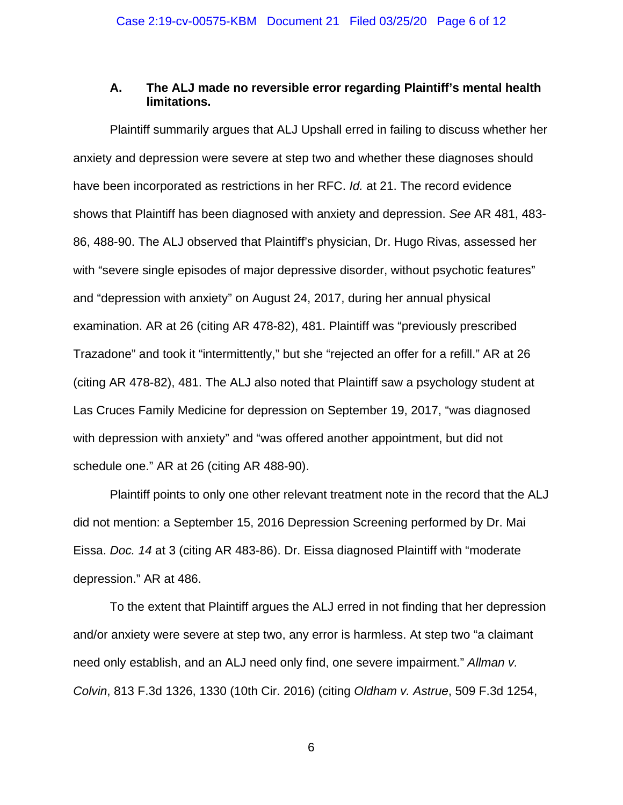### **A. The ALJ made no reversible error regarding Plaintiff's mental health limitations.**

Plaintiff summarily argues that ALJ Upshall erred in failing to discuss whether her anxiety and depression were severe at step two and whether these diagnoses should have been incorporated as restrictions in her RFC. *Id.* at 21. The record evidence shows that Plaintiff has been diagnosed with anxiety and depression. *See* AR 481, 483- 86, 488-90. The ALJ observed that Plaintiff's physician, Dr. Hugo Rivas, assessed her with "severe single episodes of major depressive disorder, without psychotic features" and "depression with anxiety" on August 24, 2017, during her annual physical examination. AR at 26 (citing AR 478-82), 481. Plaintiff was "previously prescribed Trazadone" and took it "intermittently," but she "rejected an offer for a refill." AR at 26 (citing AR 478-82), 481. The ALJ also noted that Plaintiff saw a psychology student at Las Cruces Family Medicine for depression on September 19, 2017, "was diagnosed with depression with anxiety" and "was offered another appointment, but did not schedule one." AR at 26 (citing AR 488-90).

Plaintiff points to only one other relevant treatment note in the record that the ALJ did not mention: a September 15, 2016 Depression Screening performed by Dr. Mai Eissa. *Doc. 14* at 3 (citing AR 483-86). Dr. Eissa diagnosed Plaintiff with "moderate depression." AR at 486.

To the extent that Plaintiff argues the ALJ erred in not finding that her depression and/or anxiety were severe at step two, any error is harmless. At step two "a claimant need only establish, and an ALJ need only find, one severe impairment." *Allman v. Colvin*, 813 F.3d 1326, 1330 (10th Cir. 2016) (citing *Oldham v. Astrue*, 509 F.3d 1254,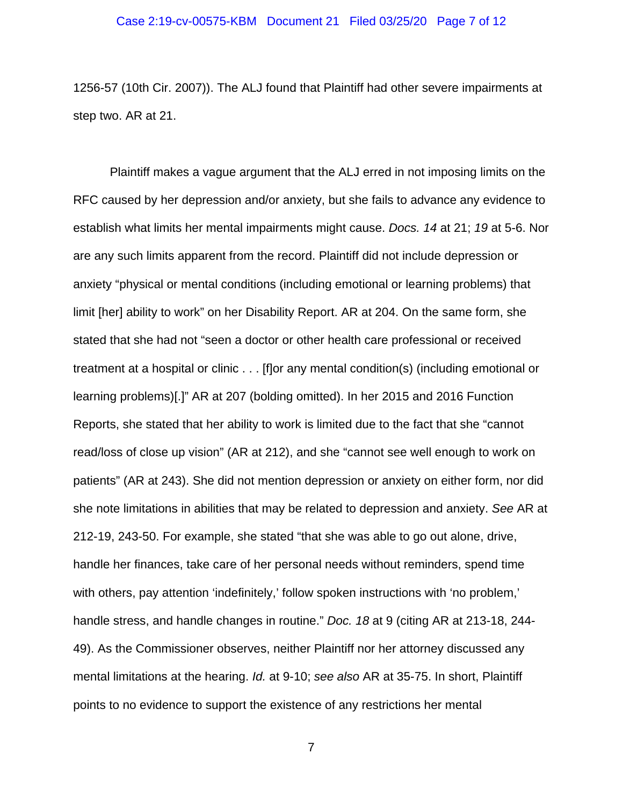1256-57 (10th Cir. 2007)). The ALJ found that Plaintiff had other severe impairments at step two. AR at 21.

Plaintiff makes a vague argument that the ALJ erred in not imposing limits on the RFC caused by her depression and/or anxiety, but she fails to advance any evidence to establish what limits her mental impairments might cause. *Docs. 14* at 21; *19* at 5-6. Nor are any such limits apparent from the record. Plaintiff did not include depression or anxiety "physical or mental conditions (including emotional or learning problems) that limit [her] ability to work" on her Disability Report. AR at 204. On the same form, she stated that she had not "seen a doctor or other health care professional or received treatment at a hospital or clinic . . . [f]or any mental condition(s) (including emotional or learning problems)[.]" AR at 207 (bolding omitted). In her 2015 and 2016 Function Reports, she stated that her ability to work is limited due to the fact that she "cannot read/loss of close up vision" (AR at 212), and she "cannot see well enough to work on patients" (AR at 243). She did not mention depression or anxiety on either form, nor did she note limitations in abilities that may be related to depression and anxiety. *See* AR at 212-19, 243-50. For example, she stated "that she was able to go out alone, drive, handle her finances, take care of her personal needs without reminders, spend time with others, pay attention 'indefinitely,' follow spoken instructions with 'no problem,' handle stress, and handle changes in routine." *Doc. 18* at 9 (citing AR at 213-18, 244- 49). As the Commissioner observes, neither Plaintiff nor her attorney discussed any mental limitations at the hearing. *Id.* at 9-10; *see also* AR at 35-75. In short, Plaintiff points to no evidence to support the existence of any restrictions her mental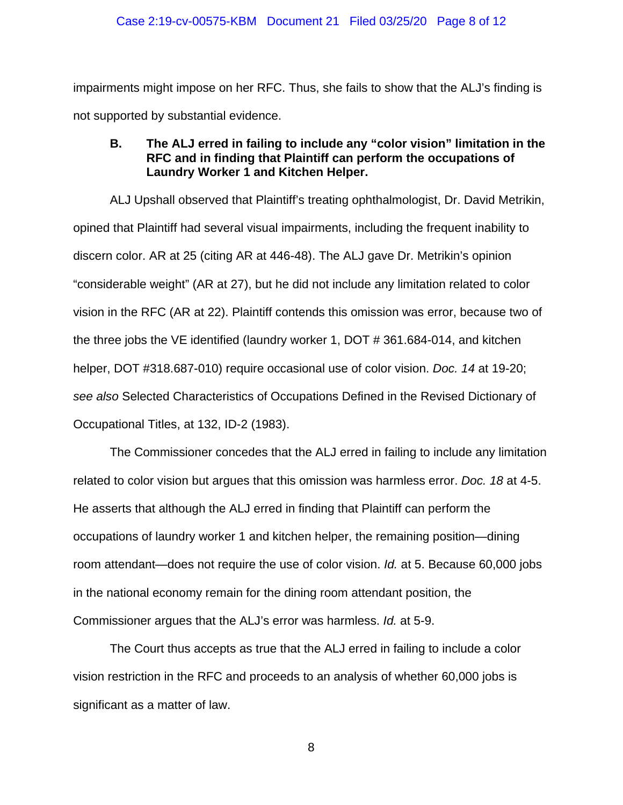impairments might impose on her RFC. Thus, she fails to show that the ALJ's finding is not supported by substantial evidence.

# **B. The ALJ erred in failing to include any "color vision" limitation in the RFC and in finding that Plaintiff can perform the occupations of Laundry Worker 1 and Kitchen Helper.**

ALJ Upshall observed that Plaintiff's treating ophthalmologist, Dr. David Metrikin, opined that Plaintiff had several visual impairments, including the frequent inability to discern color. AR at 25 (citing AR at 446-48). The ALJ gave Dr. Metrikin's opinion "considerable weight" (AR at 27), but he did not include any limitation related to color vision in the RFC (AR at 22). Plaintiff contends this omission was error, because two of the three jobs the VE identified (laundry worker 1, DOT # 361.684-014, and kitchen helper, DOT #318.687-010) require occasional use of color vision. *Doc. 14* at 19-20; *see also* Selected Characteristics of Occupations Defined in the Revised Dictionary of Occupational Titles, at 132, ID-2 (1983).

The Commissioner concedes that the ALJ erred in failing to include any limitation related to color vision but argues that this omission was harmless error. *Doc. 18* at 4-5. He asserts that although the ALJ erred in finding that Plaintiff can perform the occupations of laundry worker 1 and kitchen helper, the remaining position—dining room attendant—does not require the use of color vision. *Id.* at 5. Because 60,000 jobs in the national economy remain for the dining room attendant position, the Commissioner argues that the ALJ's error was harmless. *Id.* at 5-9.

The Court thus accepts as true that the ALJ erred in failing to include a color vision restriction in the RFC and proceeds to an analysis of whether 60,000 jobs is significant as a matter of law.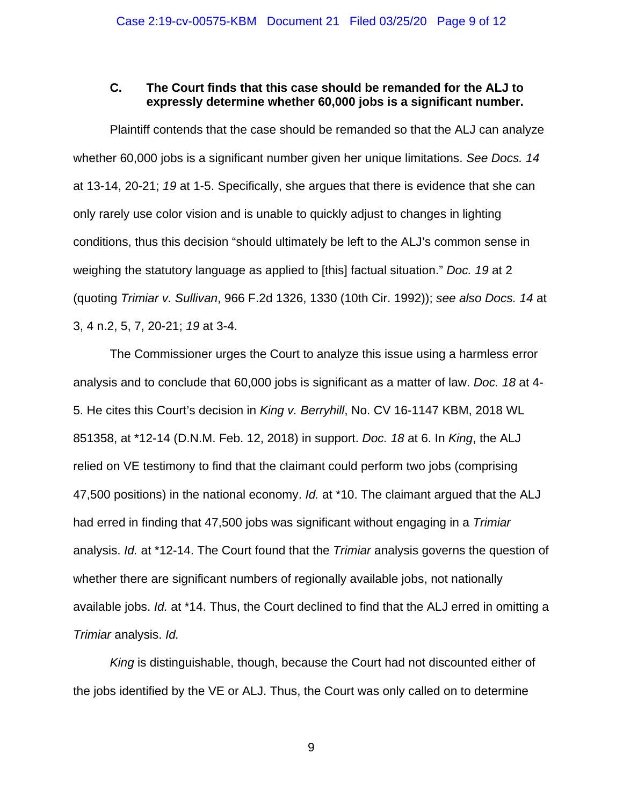### **C. The Court finds that this case should be remanded for the ALJ to expressly determine whether 60,000 jobs is a significant number.**

Plaintiff contends that the case should be remanded so that the ALJ can analyze whether 60,000 jobs is a significant number given her unique limitations. *See Docs. 14* at 13-14, 20-21; *19* at 1-5. Specifically, she argues that there is evidence that she can only rarely use color vision and is unable to quickly adjust to changes in lighting conditions, thus this decision "should ultimately be left to the ALJ's common sense in weighing the statutory language as applied to [this] factual situation." *Doc. 19* at 2 (quoting *Trimiar v. Sullivan*, 966 F.2d 1326, 1330 (10th Cir. 1992)); *see also Docs. 14* at 3, 4 n.2, 5, 7, 20-21; *19* at 3-4.

The Commissioner urges the Court to analyze this issue using a harmless error analysis and to conclude that 60,000 jobs is significant as a matter of law. *Doc. 18* at 4- 5. He cites this Court's decision in *King v. Berryhill*, No. CV 16-1147 KBM, 2018 WL 851358, at \*12-14 (D.N.M. Feb. 12, 2018) in support. *Doc. 18* at 6. In *King*, the ALJ relied on VE testimony to find that the claimant could perform two jobs (comprising 47,500 positions) in the national economy. *Id.* at \*10. The claimant argued that the ALJ had erred in finding that 47,500 jobs was significant without engaging in a *Trimiar* analysis. *Id.* at \*12-14. The Court found that the *Trimiar* analysis governs the question of whether there are significant numbers of regionally available jobs, not nationally available jobs. *Id.* at \*14. Thus, the Court declined to find that the ALJ erred in omitting a *Trimiar* analysis. *Id.*

*King* is distinguishable, though, because the Court had not discounted either of the jobs identified by the VE or ALJ. Thus, the Court was only called on to determine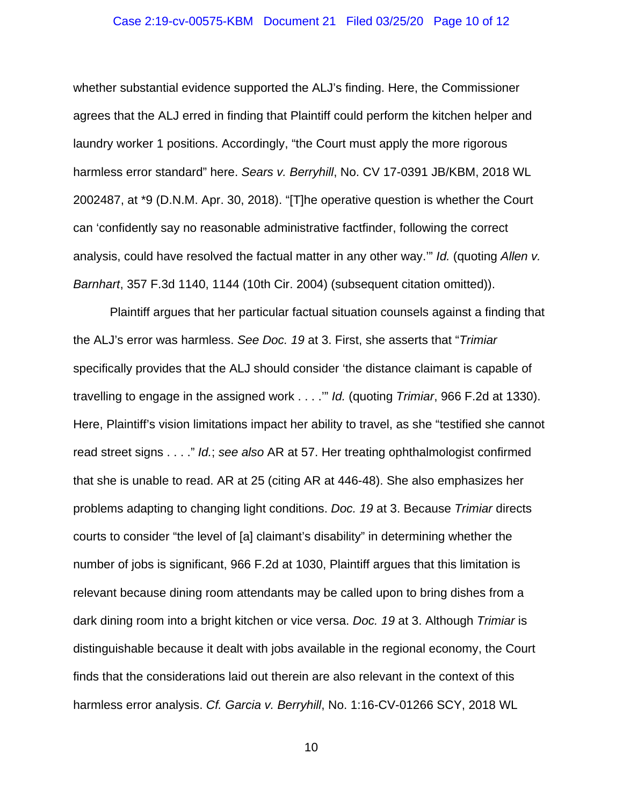#### Case 2:19-cv-00575-KBM Document 21 Filed 03/25/20 Page 10 of 12

whether substantial evidence supported the ALJ's finding. Here, the Commissioner agrees that the ALJ erred in finding that Plaintiff could perform the kitchen helper and laundry worker 1 positions. Accordingly, "the Court must apply the more rigorous harmless error standard" here. *Sears v. Berryhill*, No. CV 17-0391 JB/KBM, 2018 WL 2002487, at \*9 (D.N.M. Apr. 30, 2018). "[T]he operative question is whether the Court can 'confidently say no reasonable administrative factfinder, following the correct analysis, could have resolved the factual matter in any other way.'" *Id.* (quoting *Allen v. Barnhart*, 357 F.3d 1140, 1144 (10th Cir. 2004) (subsequent citation omitted)).

Plaintiff argues that her particular factual situation counsels against a finding that the ALJ's error was harmless. *See Doc. 19* at 3. First, she asserts that "*Trimiar* specifically provides that the ALJ should consider 'the distance claimant is capable of travelling to engage in the assigned work . . . .'" *Id.* (quoting *Trimiar*, 966 F.2d at 1330). Here, Plaintiff's vision limitations impact her ability to travel, as she "testified she cannot read street signs . . . ." *Id.*; *see also* AR at 57. Her treating ophthalmologist confirmed that she is unable to read. AR at 25 (citing AR at 446-48). She also emphasizes her problems adapting to changing light conditions. *Doc. 19* at 3. Because *Trimiar* directs courts to consider "the level of [a] claimant's disability" in determining whether the number of jobs is significant, 966 F.2d at 1030, Plaintiff argues that this limitation is relevant because dining room attendants may be called upon to bring dishes from a dark dining room into a bright kitchen or vice versa. *Doc. 19* at 3. Although *Trimiar* is distinguishable because it dealt with jobs available in the regional economy, the Court finds that the considerations laid out therein are also relevant in the context of this harmless error analysis. *Cf. Garcia v. Berryhill*, No. 1:16-CV-01266 SCY, 2018 WL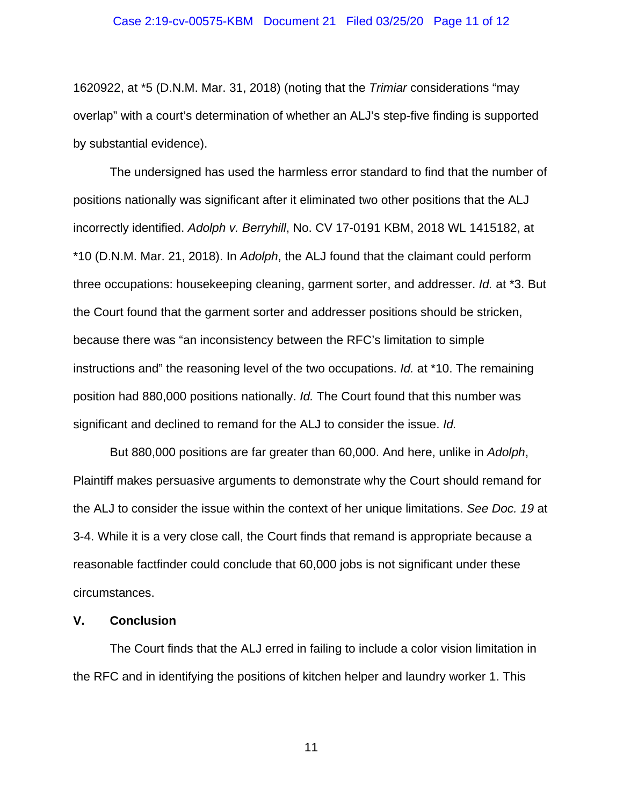#### Case 2:19-cv-00575-KBM Document 21 Filed 03/25/20 Page 11 of 12

1620922, at \*5 (D.N.M. Mar. 31, 2018) (noting that the *Trimiar* considerations "may overlap" with a court's determination of whether an ALJ's step-five finding is supported by substantial evidence).

The undersigned has used the harmless error standard to find that the number of positions nationally was significant after it eliminated two other positions that the ALJ incorrectly identified. *Adolph v. Berryhill*, No. CV 17-0191 KBM, 2018 WL 1415182, at \*10 (D.N.M. Mar. 21, 2018). In *Adolph*, the ALJ found that the claimant could perform three occupations: housekeeping cleaning, garment sorter, and addresser. *Id.* at \*3. But the Court found that the garment sorter and addresser positions should be stricken, because there was "an inconsistency between the RFC's limitation to simple instructions and" the reasoning level of the two occupations. *Id.* at \*10. The remaining position had 880,000 positions nationally. *Id.* The Court found that this number was significant and declined to remand for the ALJ to consider the issue. *Id.*

But 880,000 positions are far greater than 60,000. And here, unlike in *Adolph*, Plaintiff makes persuasive arguments to demonstrate why the Court should remand for the ALJ to consider the issue within the context of her unique limitations. *See Doc. 19* at 3-4. While it is a very close call, the Court finds that remand is appropriate because a reasonable factfinder could conclude that 60,000 jobs is not significant under these circumstances.

### **V. Conclusion**

The Court finds that the ALJ erred in failing to include a color vision limitation in the RFC and in identifying the positions of kitchen helper and laundry worker 1. This